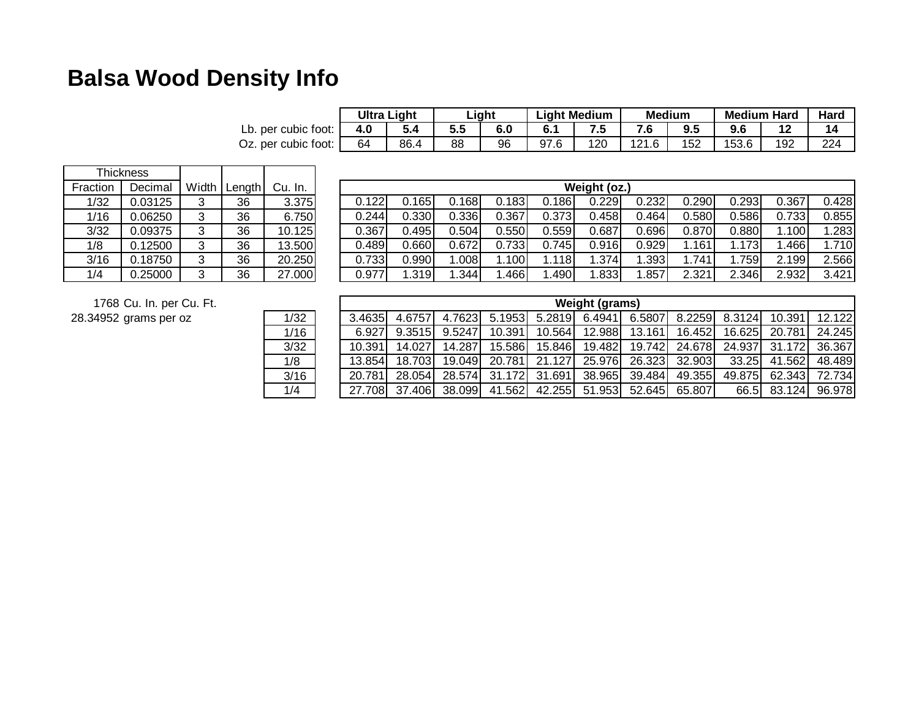## **Balsa Wood Density Info**

|                     | Ultra Light |      | ∟iqht |     | ∟iqht Medium |     | <b>Medium</b> |     | <b>Medium Hard</b> |     | Harc |
|---------------------|-------------|------|-------|-----|--------------|-----|---------------|-----|--------------------|-----|------|
| Lb. per cubic foot: |             |      | ວ.ວ   | 6.0 |              |     |               | ວ.ບ | ሰ ድ<br>ນ.ບ         |     | 14   |
| Oz. per cubic foot: | 64          | 86.4 | 88    | 96  | 97.6         | 120 | 121.6         | 152 | 153.6              | 192 | 224  |

|          | <b>Thickness</b> |   |        |         |
|----------|------------------|---|--------|---------|
| Fraction | Decimal          |   | Length | Cu. In. |
| 1/32     | 0.03125          | 3 | 36     | 3.375   |
| 1/16     | 0.06250          | 3 | 36     | 6.750   |
| 3/32     | 0.09375          | 3 | 36     | 10.125  |
| 1/8      | 0.12500          | 3 | 36     | 13.500  |
| 3/16     | 0.18750          | 3 | 36     | 20.250  |
| 1/4      | 0.25000          | 3 | 36     | 27.000  |

1/16

3/32

3/16

1/4

1/8

|                | Weight (oz.) |       |       |       |       |       |       |       |       |       |       |
|----------------|--------------|-------|-------|-------|-------|-------|-------|-------|-------|-------|-------|
| $\overline{5}$ | 0.122        | 0.165 | 0.168 | 0.183 | 0.186 | 0.229 | 0.232 | 0.290 | 0.293 | 0.367 | 0.428 |
| $\overline{0}$ | 0.244        | 0.330 | 0.336 | 0.367 | 0.373 | 0.458 | 0.464 | 0.580 | 0.586 | 0.733 | 0.855 |
| 5              | 0.367        | 0.495 | 0.504 | 0.550 | 0.559 | 0.687 | 0.696 | 0.870 | 0.880 | 1.100 | 1.283 |
| 히              | 0.489        | 0.660 | 0.672 | 0.733 | 0.745 | 0.916 | 0.929 | .161  | 1.173 | .466  | 1.710 |
| $\overline{0}$ | 0.733        | 0.990 | 1.008 | .100  | 1.118 | 1.374 | 1.393 | .741  | 1.759 | 2.199 | 2.566 |
| 이              | 0.977        | 1.319 | .344  | .466  | .490  | 1.833 | .857  | 2.321 | 2.346 | 2.932 | 3.421 |

1768 Cu. In. per Cu. Ft.

28.34952 grams per oz 1/32

|                 | <b>Weight (grams)</b> |        |        |        |        |               |               |        |               |        |        |  |
|-----------------|-----------------------|--------|--------|--------|--------|---------------|---------------|--------|---------------|--------|--------|--|
| $\overline{32}$ | 3.4635                | 4.6757 | 4.7623 | 5.1953 |        | 5.2819 6.4941 | 6.5807        |        | 8.2259 8.3124 | 10.391 | 12.122 |  |
| $\overline{16}$ | 6.927                 | 9.3515 | 9.5247 | 10.391 | 10.564 | 12.988        | 13.161        | 16.452 | 16.625        | 20.781 | 24.245 |  |
| $\overline{32}$ | 10.391                | 14.027 | 14.287 | 15.586 | 15.846 | 19.482        | 19.742        | 24.678 | 24.937        | 31.172 | 36.367 |  |
| $\overline{8}$  | 13.854                | 18.703 | 19.049 | 20.781 | 21.127 | 25.976        | 26.323        | 32.903 | 33.25         | 41.562 | 48.489 |  |
| $\overline{16}$ | 20.781                | 28.054 | 28.574 | 31.172 | 31.691 |               | 38.965 39.484 | 49.355 | 49.875        | 62.343 | 72.734 |  |
| $\frac{4}{1}$   | 27.708                | 37.406 | 38.099 | 41.562 | 42.255 | 51.953        | 52.645        | 65.807 | 66.5          | 83.124 | 96.978 |  |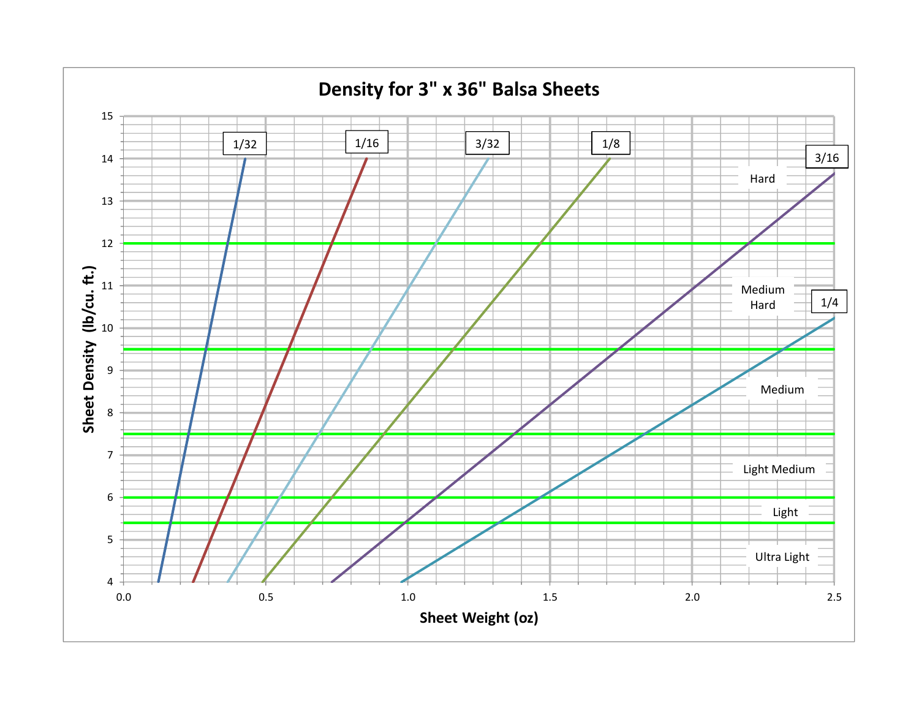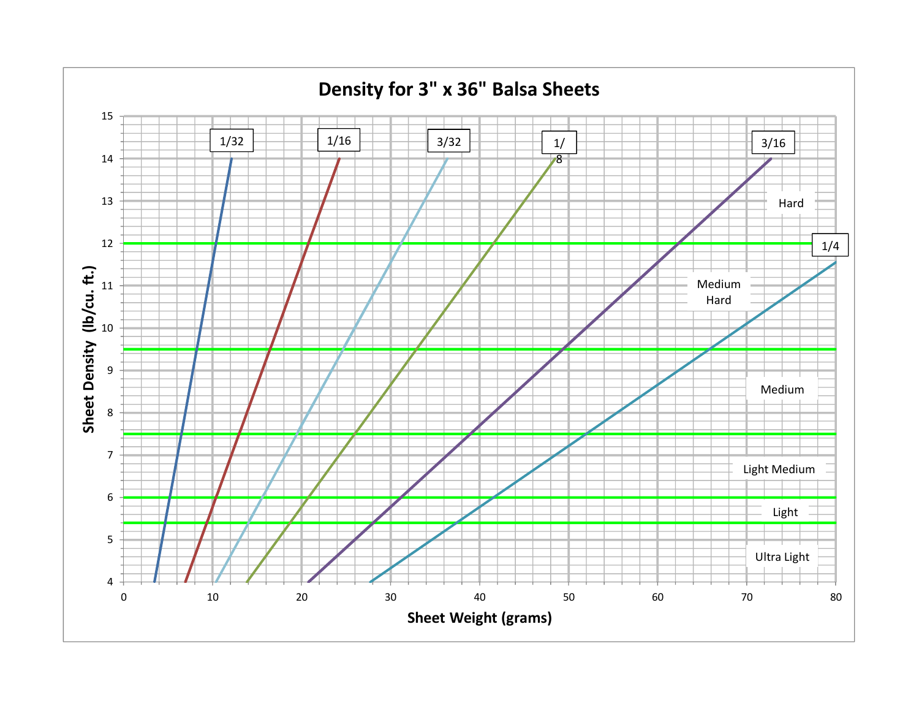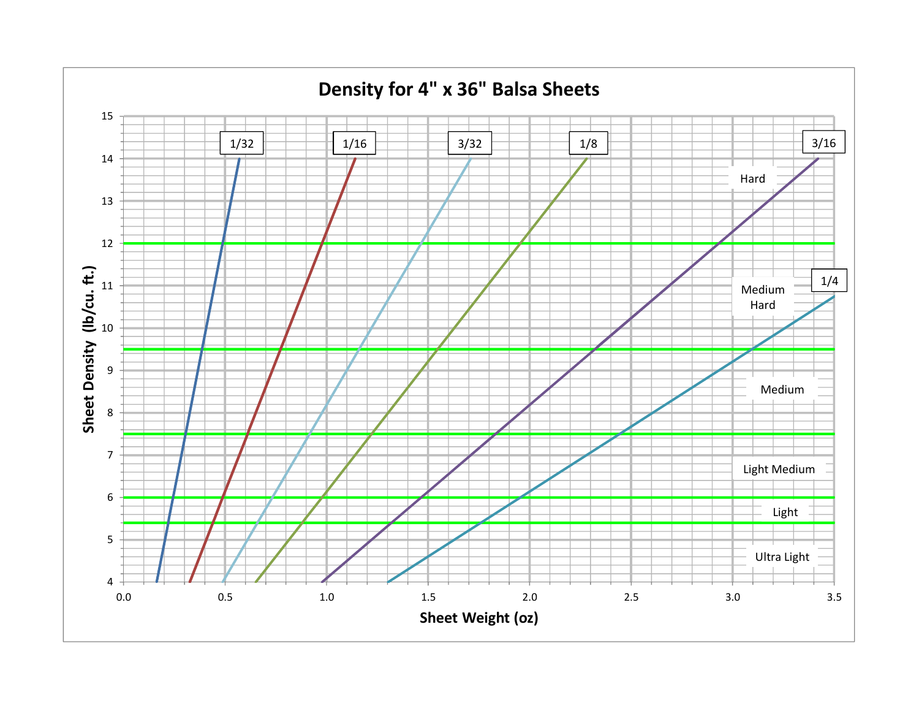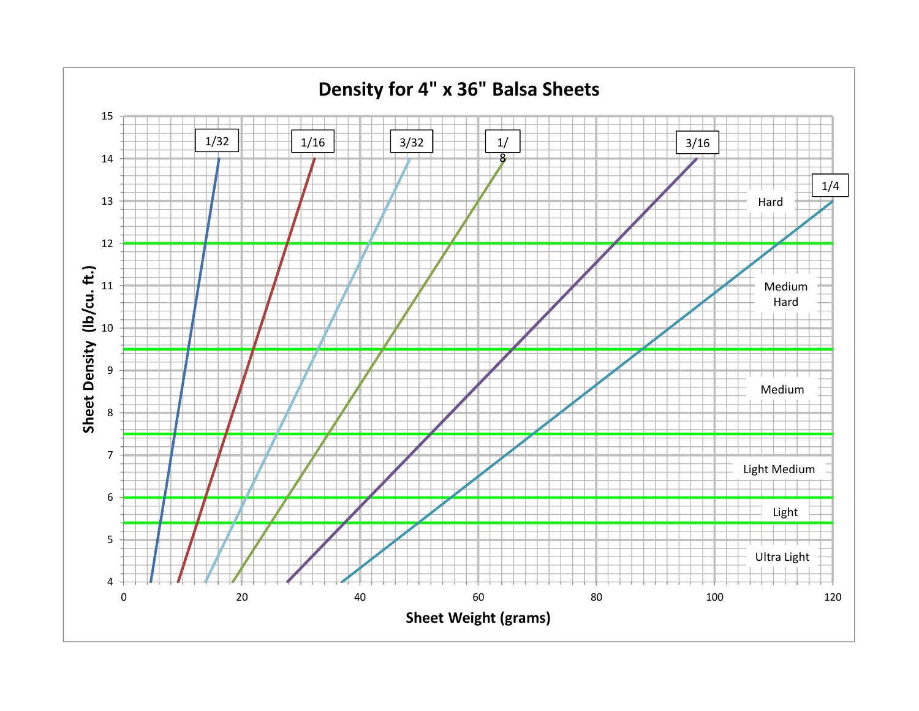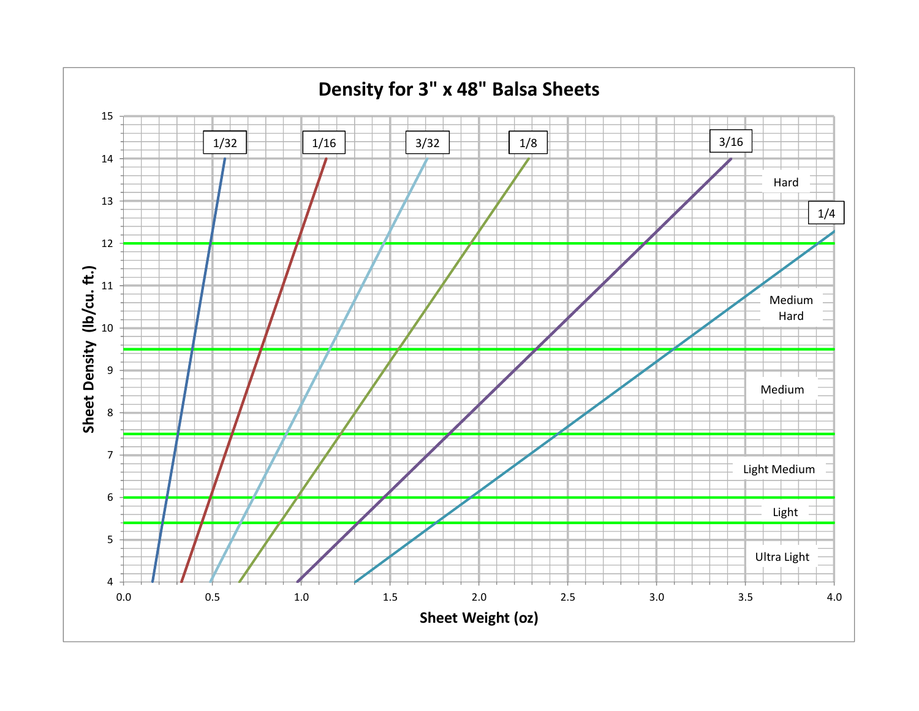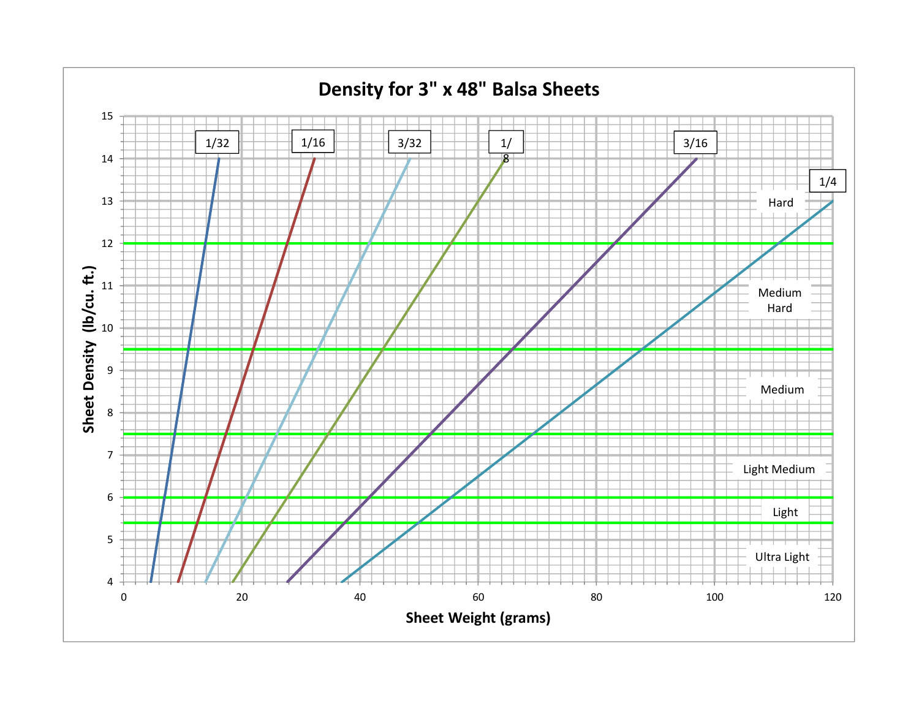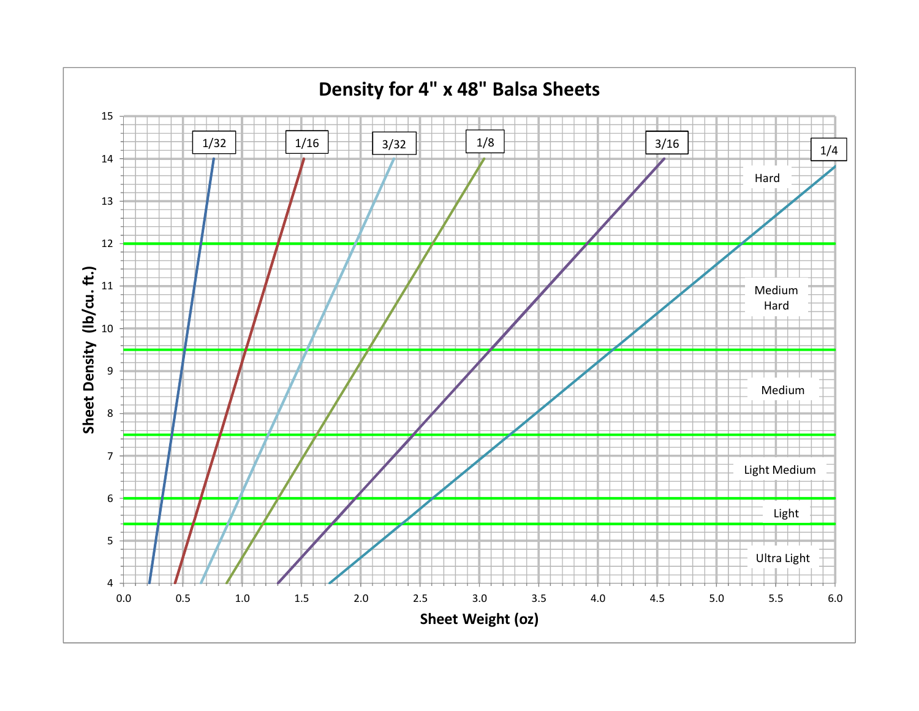